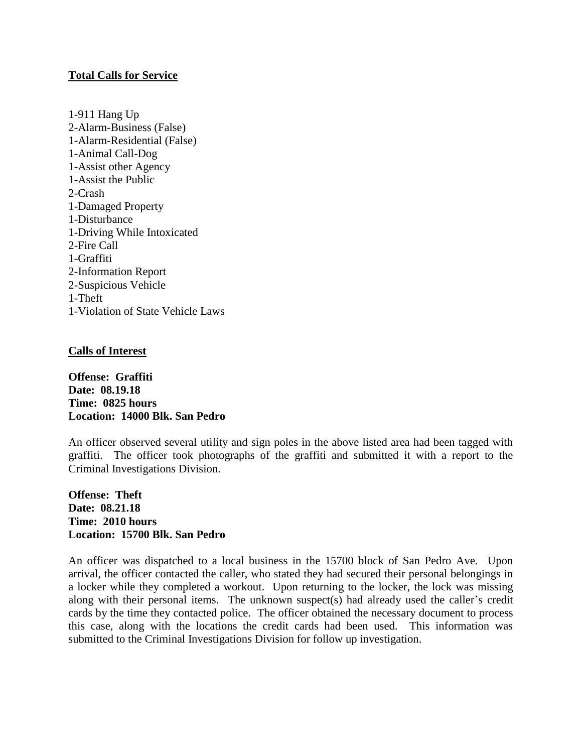# **Total Calls for Service**

1-911 Hang Up 2-Alarm-Business (False) 1-Alarm-Residential (False) 1-Animal Call-Dog 1-Assist other Agency 1-Assist the Public 2-Crash 1-Damaged Property 1-Disturbance 1-Driving While Intoxicated 2-Fire Call 1-Graffiti 2-Information Report 2-Suspicious Vehicle 1-Theft 1-Violation of State Vehicle Laws

### **Calls of Interest**

**Offense: Graffiti Date: 08.19.18 Time: 0825 hours Location: 14000 Blk. San Pedro**

An officer observed several utility and sign poles in the above listed area had been tagged with graffiti. The officer took photographs of the graffiti and submitted it with a report to the Criminal Investigations Division.

**Offense: Theft Date: 08.21.18 Time: 2010 hours Location: 15700 Blk. San Pedro**

An officer was dispatched to a local business in the 15700 block of San Pedro Ave. Upon arrival, the officer contacted the caller, who stated they had secured their personal belongings in a locker while they completed a workout. Upon returning to the locker, the lock was missing along with their personal items. The unknown suspect(s) had already used the caller's credit cards by the time they contacted police. The officer obtained the necessary document to process this case, along with the locations the credit cards had been used. This information was submitted to the Criminal Investigations Division for follow up investigation.